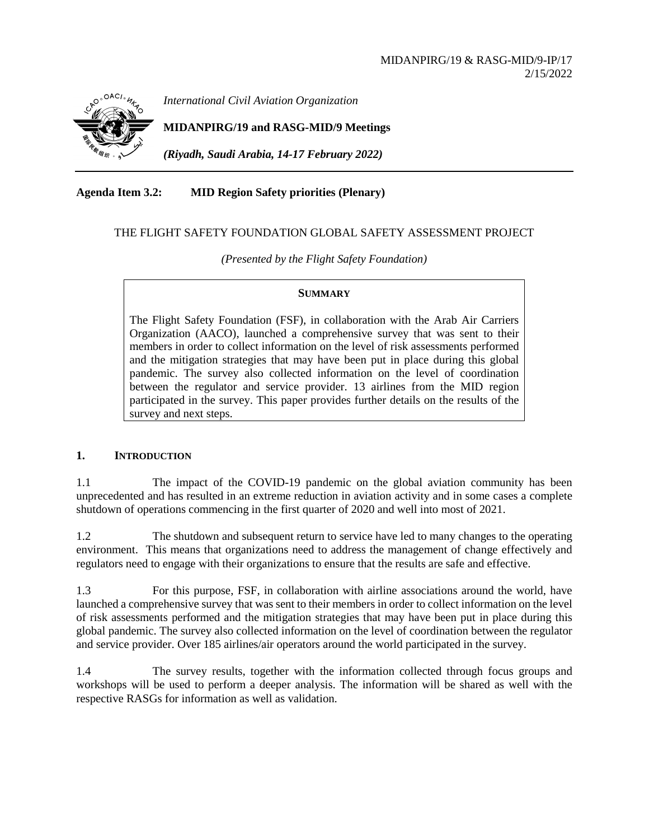

*International Civil Aviation Organization*

**MIDANPIRG/19 and RASG-MID/9 Meetings**

*(Riyadh, Saudi Arabia, 14-17 February 2022)*

**Agenda Item 3.2: MID Region Safety priorities (Plenary)**

### THE FLIGHT SAFETY FOUNDATION GLOBAL SAFETY ASSESSMENT PROJECT

*(Presented by the Flight Safety Foundation)*

#### **SUMMARY**

The Flight Safety Foundation (FSF), in collaboration with the Arab Air Carriers Organization (AACO), launched a comprehensive survey that was sent to their members in order to collect information on the level of risk assessments performed and the mitigation strategies that may have been put in place during this global pandemic. The survey also collected information on the level of coordination between the regulator and service provider. 13 airlines from the MID region participated in the survey. This paper provides further details on the results of the survey and next steps.

## **1. INTRODUCTION**

1.1 The impact of the COVID-19 pandemic on the global aviation community has been unprecedented and has resulted in an extreme reduction in aviation activity and in some cases a complete shutdown of operations commencing in the first quarter of 2020 and well into most of 2021.

1.2 The shutdown and subsequent return to service have led to many changes to the operating environment. This means that organizations need to address the management of change effectively and regulators need to engage with their organizations to ensure that the results are safe and effective.

1.3 For this purpose, FSF, in collaboration with airline associations around the world, have launched a comprehensive survey that was sent to their members in order to collect information on the level of risk assessments performed and the mitigation strategies that may have been put in place during this global pandemic. The survey also collected information on the level of coordination between the regulator and service provider. Over 185 airlines/air operators around the world participated in the survey.

1.4 The survey results, together with the information collected through focus groups and workshops will be used to perform a deeper analysis. The information will be shared as well with the respective RASGs for information as well as validation.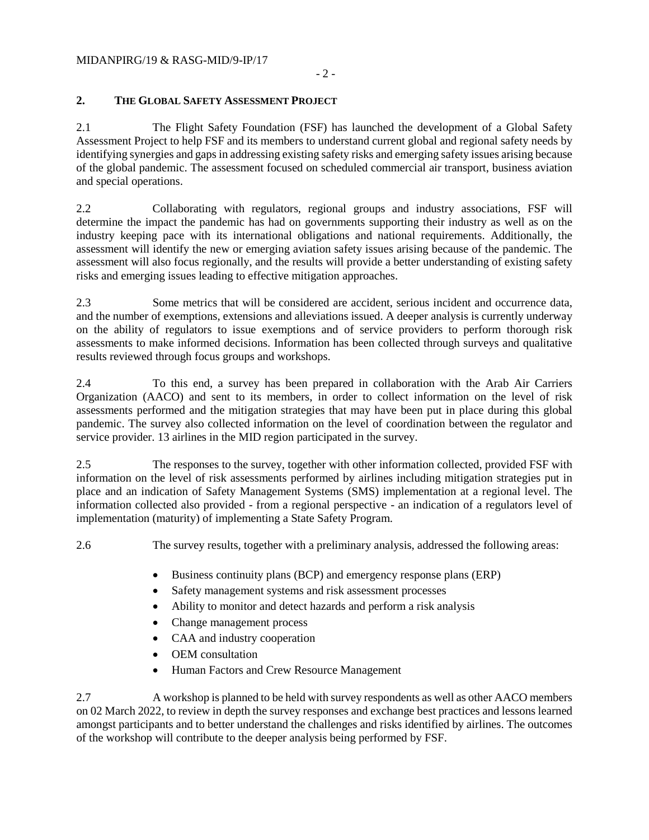## **2. THE GLOBAL SAFETY ASSESSMENT PROJECT**

2.1 The Flight Safety Foundation (FSF) has launched the development of a Global Safety Assessment Project to help FSF and its members to understand current global and regional safety needs by identifying synergies and gaps in addressing existing safety risks and emerging safety issues arising because of the global pandemic. The assessment focused on scheduled commercial air transport, business aviation and special operations.

2.2 Collaborating with regulators, regional groups and industry associations, FSF will determine the impact the pandemic has had on governments supporting their industry as well as on the industry keeping pace with its international obligations and national requirements. Additionally, the assessment will identify the new or emerging aviation safety issues arising because of the pandemic. The assessment will also focus regionally, and the results will provide a better understanding of existing safety risks and emerging issues leading to effective mitigation approaches.

2.3 Some metrics that will be considered are accident, serious incident and occurrence data, and the number of exemptions, extensions and alleviations issued. A deeper analysis is currently underway on the ability of regulators to issue exemptions and of service providers to perform thorough risk assessments to make informed decisions. Information has been collected through surveys and qualitative results reviewed through focus groups and workshops.

2.4 To this end, a survey has been prepared in collaboration with the Arab Air Carriers Organization (AACO) and sent to its members, in order to collect information on the level of risk assessments performed and the mitigation strategies that may have been put in place during this global pandemic. The survey also collected information on the level of coordination between the regulator and service provider. 13 airlines in the MID region participated in the survey.

2.5 The responses to the survey, together with other information collected, provided FSF with information on the level of risk assessments performed by airlines including mitigation strategies put in place and an indication of Safety Management Systems (SMS) implementation at a regional level. The information collected also provided - from a regional perspective - an indication of a regulators level of implementation (maturity) of implementing a State Safety Program.

2.6 The survey results, together with a preliminary analysis, addressed the following areas:

- Business continuity plans (BCP) and emergency response plans (ERP)
- Safety management systems and risk assessment processes
- Ability to monitor and detect hazards and perform a risk analysis
- Change management process
- CAA and industry cooperation
- OEM consultation
- Human Factors and Crew Resource Management

2.7 A workshop is planned to be held with survey respondents as well as other AACO members on 02 March 2022, to review in depth the survey responses and exchange best practices and lessons learned amongst participants and to better understand the challenges and risks identified by airlines. The outcomes of the workshop will contribute to the deeper analysis being performed by FSF.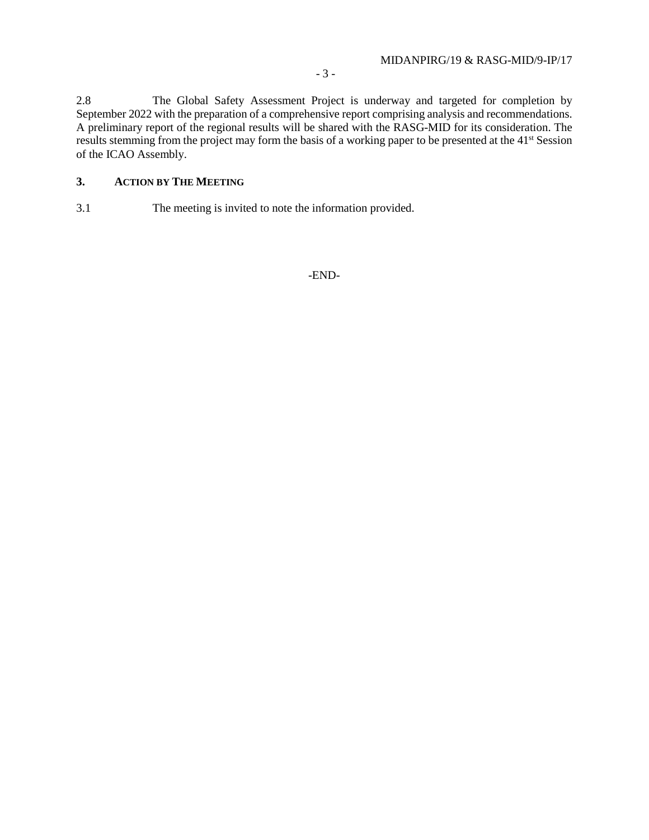2.8 The Global Safety Assessment Project is underway and targeted for completion by September 2022 with the preparation of a comprehensive report comprising analysis and recommendations. A preliminary report of the regional results will be shared with the RASG-MID for its consideration. The results stemming from the project may form the basis of a working paper to be presented at the 41st Session of the ICAO Assembly.

# **3. ACTION BY THE MEETING**

3.1 The meeting is invited to note the information provided.

-END-